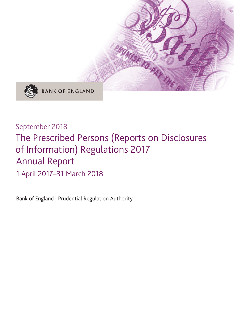

### September 2018

## The Prescribed Persons (Reports on Disclosures of Information) Regulations 2017 Annual Report

1 April 2017–31 March 2018

Bank of England | Prudential Regulation Authority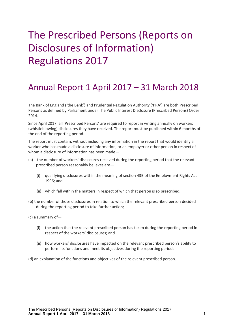# The Prescribed Persons (Reports on Disclosures of Information) Regulations 2017

## Annual Report 1 April 2017 – 31 March 2018

The Bank of England ('the Bank') and Prudential Regulation Authority ('PRA') are both Prescribed Persons as defined by Parliament under The Public Interest Disclosure (Prescribed Persons) Order 2014.

Since April 2017, all 'Prescribed Persons' are required to report in writing annually on workers (whistleblowing) disclosures they have received. The report must be published within 6 months of the end of the reporting period.

The report must contain, without including any information in the report that would identify a worker who has made a disclosure of information, or an employer or other person in respect of whom a disclosure of information has been made—

- (a) the number of workers' disclosures received during the reporting period that the relevant prescribed person reasonably believes are—
	- (i) qualifying disclosures within the meaning of section 43B of the Employment Rights Act 1996; and
	- (ii) which fall within the matters in respect of which that person is so prescribed;
- (b) the number of those disclosures in relation to which the relevant prescribed person decided during the reporting period to take further action;
- (c) a summary of—
	- (i) the action that the relevant prescribed person has taken during the reporting period in respect of the workers' disclosures; and
	- (ii) how workers' disclosures have impacted on the relevant prescribed person's ability to perform its functions and meet its objectives during the reporting period;
- (d) an explanation of the functions and objectives of the relevant prescribed person.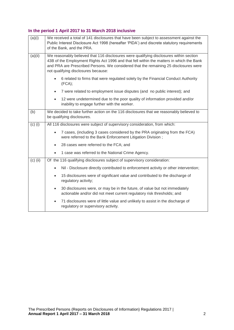### **In the period 1 April 2017 to 31 March 2018 inclusive**

| (a)(i)     | We received a total of 141 disclosures that have been subject to assessment against the<br>Public Interest Disclosure Act 1998 (hereafter 'PIDA') and discrete statutory requirements<br>of the Bank, and the PRA.                                                                                                |
|------------|-------------------------------------------------------------------------------------------------------------------------------------------------------------------------------------------------------------------------------------------------------------------------------------------------------------------|
| (a)(ii)    | We reasonably believed that 116 disclosures were qualifying disclosures within section<br>43B of the Employment Rights Act 1996 and that fell within the matters in which the Bank<br>and PRA are Prescribed Persons. We considered that the remaining 25 disclosures were<br>not qualifying disclosures because: |
|            | 6 related to firms that were regulated solely by the Financial Conduct Authority<br>(FCA);                                                                                                                                                                                                                        |
|            | 7 were related to employment issue disputes (and no public interest); and<br>$\bullet$                                                                                                                                                                                                                            |
|            | 12 were undetermined due to the poor quality of information provided and/or<br>$\bullet$<br>inability to engage further with the worker.                                                                                                                                                                          |
| (b)        | We decided to take further action on the 116 disclosures that we reasonably believed to<br>be qualifying disclosures.                                                                                                                                                                                             |
| $(c)$ (i)  | All 116 disclosures were subject of supervisory consideration, from which:                                                                                                                                                                                                                                        |
|            | 7 cases, (including 3 cases considered by the PRA originating from the FCA)<br>$\bullet$<br>were referred to the Bank Enforcement Litigation Division;                                                                                                                                                            |
|            | 28 cases were referred to the FCA; and<br>$\bullet$                                                                                                                                                                                                                                                               |
|            | 1 case was referred to the National Crime Agency.<br>$\bullet$                                                                                                                                                                                                                                                    |
| $(c)$ (ii) | Of the 116 qualifying disclosures subject of supervisory consideration:                                                                                                                                                                                                                                           |
|            | Nil - Disclosure directly contributed to enforcement activity or other intervention;<br>$\bullet$                                                                                                                                                                                                                 |
|            | 15 disclosures were of significant value and contributed to the discharge of<br>$\bullet$<br>regulatory activity;                                                                                                                                                                                                 |
|            | 30 disclosures were, or may be in the future, of value but not immediately<br>$\bullet$<br>actionable and/or did not meet current regulatory risk thresholds; and                                                                                                                                                 |
|            | 71 disclosures were of little value and unlikely to assist in the discharge of<br>$\bullet$<br>regulatory or supervisory activity.                                                                                                                                                                                |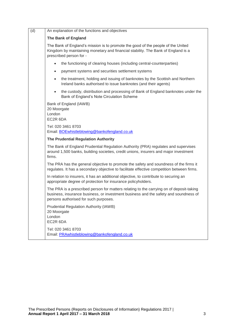| (d) | An explanation of the functions and objectives                                                                                                                                                                            |
|-----|---------------------------------------------------------------------------------------------------------------------------------------------------------------------------------------------------------------------------|
|     | <b>The Bank of England</b>                                                                                                                                                                                                |
|     | The Bank of England's mission is to promote the good of the people of the United<br>Kingdom by maintaining monetary and financial stability. The Bank of England is a<br>prescribed person for -                          |
|     | the functioning of clearing houses (including central-counterparties)<br>$\bullet$                                                                                                                                        |
|     | payment systems and securities settlement systems<br>$\bullet$                                                                                                                                                            |
|     | the treatment, holding and issuing of banknotes by the Scottish and Northern<br>$\bullet$<br>Ireland banks authorised to issue banknotes (and their agents)                                                               |
|     | the custody, distribution and processing of Bank of England banknotes under the<br>$\bullet$<br>Bank of England's Note Circulation Scheme                                                                                 |
|     | Bank of England (IAWB)<br>20 Moorgate<br>London<br>EC2R 6DA                                                                                                                                                               |
|     | Tel: 020 3461 8703<br>Email: BOEwhistleblowing@bankofengland.co.uk                                                                                                                                                        |
|     | The Prudential Regulation Authority                                                                                                                                                                                       |
|     | The Bank of England Prudential Regulation Authority (PRA) regulates and supervises<br>around 1,500 banks, building societies, credit unions, insurers and major investment<br>firms.                                      |
|     | The PRA has the general objective to promote the safety and soundness of the firms it<br>regulates. It has a secondary objective to facilitate effective competition between firms.                                       |
|     | In relation to insurers, it has an additional objective, to contribute to securing an<br>appropriate degree of protection for insurance policyholders.                                                                    |
|     | The PRA is a prescribed person for matters relating to the carrying on of deposit-taking<br>business, insurance business, or investment business and the safety and soundness of<br>persons authorised for such purposes. |
|     | Prudential Regulation Authority (IAWB)<br>20 Moorgate<br>London<br>EC2R 6DA                                                                                                                                               |
|     | Tel: 020 3461 8703<br>Email: PRAwhistleblowing@bankofengland.co.uk                                                                                                                                                        |